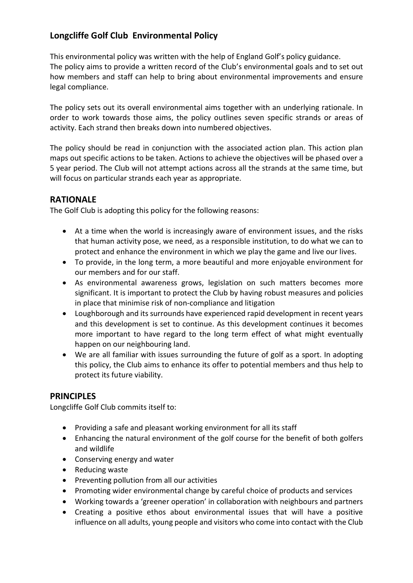# Longcliffe Golf Club Environmental Policy

This environmental policy was written with the help of England Golf's policy guidance. The policy aims to provide a written record of the Club's environmental goals and to set out how members and staff can help to bring about environmental improvements and ensure legal compliance.

The policy sets out its overall environmental aims together with an underlying rationale. In order to work towards those aims, the policy outlines seven specific strands or areas of activity. Each strand then breaks down into numbered objectives.

The policy should be read in conjunction with the associated action plan. This action plan maps out specific actions to be taken. Actions to achieve the objectives will be phased over a 5 year period. The Club will not attempt actions across all the strands at the same time, but will focus on particular strands each year as appropriate.

# RATIONALE

The Golf Club is adopting this policy for the following reasons:

- At a time when the world is increasingly aware of environment issues, and the risks that human activity pose, we need, as a responsible institution, to do what we can to protect and enhance the environment in which we play the game and live our lives.
- To provide, in the long term, a more beautiful and more enjoyable environment for our members and for our staff.
- As environmental awareness grows, legislation on such matters becomes more significant. It is important to protect the Club by having robust measures and policies in place that minimise risk of non-compliance and litigation
- Loughborough and its surrounds have experienced rapid development in recent years and this development is set to continue. As this development continues it becomes more important to have regard to the long term effect of what might eventually happen on our neighbouring land.
- We are all familiar with issues surrounding the future of golf as a sport. In adopting this policy, the Club aims to enhance its offer to potential members and thus help to protect its future viability.

# **PRINCIPLES**

Longcliffe Golf Club commits itself to:

- Providing a safe and pleasant working environment for all its staff
- Enhancing the natural environment of the golf course for the benefit of both golfers and wildlife
- Conserving energy and water
- Reducing waste
- Preventing pollution from all our activities
- Promoting wider environmental change by careful choice of products and services
- Working towards a 'greener operation' in collaboration with neighbours and partners
- Creating a positive ethos about environmental issues that will have a positive influence on all adults, young people and visitors who come into contact with the Club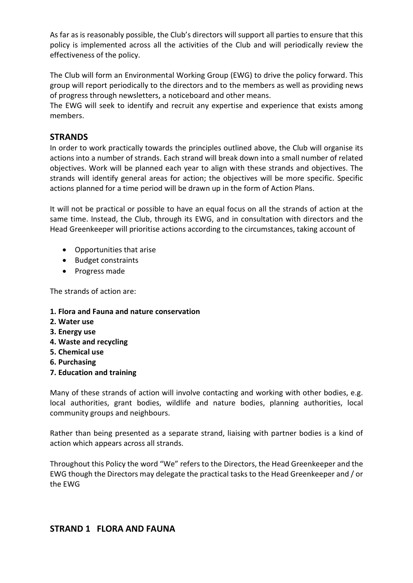As far as is reasonably possible, the Club's directors will support all parties to ensure that this policy is implemented across all the activities of the Club and will periodically review the effectiveness of the policy.

The Club will form an Environmental Working Group (EWG) to drive the policy forward. This group will report periodically to the directors and to the members as well as providing news of progress through newsletters, a noticeboard and other means.

The EWG will seek to identify and recruit any expertise and experience that exists among members.

# **STRANDS**

In order to work practically towards the principles outlined above, the Club will organise its actions into a number of strands. Each strand will break down into a small number of related objectives. Work will be planned each year to align with these strands and objectives. The strands will identify general areas for action; the objectives will be more specific. Specific actions planned for a time period will be drawn up in the form of Action Plans.

It will not be practical or possible to have an equal focus on all the strands of action at the same time. Instead, the Club, through its EWG, and in consultation with directors and the Head Greenkeeper will prioritise actions according to the circumstances, taking account of

- Opportunities that arise
- Budget constraints
- Progress made

The strands of action are:

## 1. Flora and Fauna and nature conservation

- 2. Water use
- 3. Energy use
- 4. Waste and recycling
- 5. Chemical use
- 6. Purchasing
- 7. Education and training

Many of these strands of action will involve contacting and working with other bodies, e.g. local authorities, grant bodies, wildlife and nature bodies, planning authorities, local community groups and neighbours.

Rather than being presented as a separate strand, liaising with partner bodies is a kind of action which appears across all strands.

Throughout this Policy the word "We" refers to the Directors, the Head Greenkeeper and the EWG though the Directors may delegate the practical tasks to the Head Greenkeeper and / or the EWG

# STRAND 1 FLORA AND FAUNA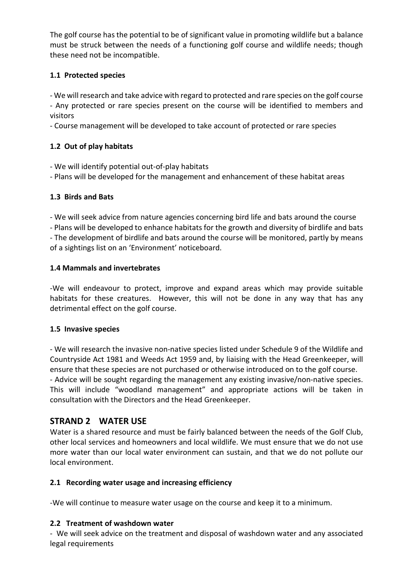The golf course has the potential to be of significant value in promoting wildlife but a balance must be struck between the needs of a functioning golf course and wildlife needs; though these need not be incompatible.

# 1.1 Protected species

- We will research and take advice with regard to protected and rare species on the golf course

- Any protected or rare species present on the course will be identified to members and visitors

- Course management will be developed to take account of protected or rare species

## 1.2 Out of play habitats

- We will identify potential out-of-play habitats

- Plans will be developed for the management and enhancement of these habitat areas

## 1.3 Birds and Bats

- We will seek advice from nature agencies concerning bird life and bats around the course - Plans will be developed to enhance habitats for the growth and diversity of birdlife and bats

- The development of birdlife and bats around the course will be monitored, partly by means of a sightings list on an 'Environment' noticeboard.

## 1.4 Mammals and invertebrates

-We will endeavour to protect, improve and expand areas which may provide suitable habitats for these creatures. However, this will not be done in any way that has any detrimental effect on the golf course.

## 1.5 Invasive species

- We will research the invasive non-native species listed under Schedule 9 of the Wildlife and Countryside Act 1981 and Weeds Act 1959 and, by liaising with the Head Greenkeeper, will ensure that these species are not purchased or otherwise introduced on to the golf course. - Advice will be sought regarding the management any existing invasive/non-native species. This will include "woodland management" and appropriate actions will be taken in consultation with the Directors and the Head Greenkeeper.

# STRAND 2 WATER USE

Water is a shared resource and must be fairly balanced between the needs of the Golf Club, other local services and homeowners and local wildlife. We must ensure that we do not use more water than our local water environment can sustain, and that we do not pollute our local environment.

## 2.1 Recording water usage and increasing efficiency

-We will continue to measure water usage on the course and keep it to a minimum.

## 2.2 Treatment of washdown water

- We will seek advice on the treatment and disposal of washdown water and any associated legal requirements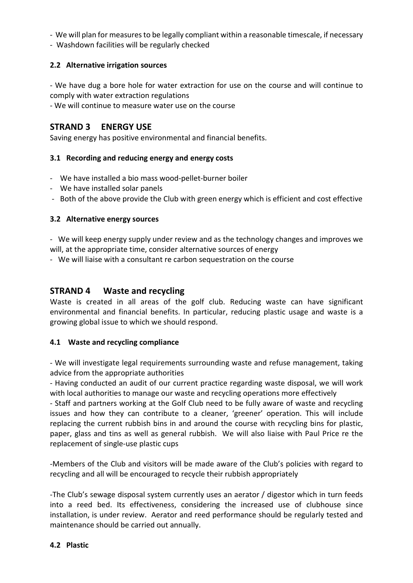- We will plan for measures to be legally compliant within a reasonable timescale, if necessary
- Washdown facilities will be regularly checked

## 2.2 Alternative irrigation sources

- We have dug a bore hole for water extraction for use on the course and will continue to comply with water extraction regulations

- We will continue to measure water use on the course

# STRAND 3 ENERGY USE

Saving energy has positive environmental and financial benefits.

#### 3.1 Recording and reducing energy and energy costs

- We have installed a bio mass wood-pellet-burner boiler
- We have installed solar panels
- Both of the above provide the Club with green energy which is efficient and cost effective

#### 3.2 Alternative energy sources

- We will keep energy supply under review and as the technology changes and improves we will, at the appropriate time, consider alternative sources of energy

- We will liaise with a consultant re carbon sequestration on the course

## STRAND 4 Waste and recycling

Waste is created in all areas of the golf club. Reducing waste can have significant environmental and financial benefits. In particular, reducing plastic usage and waste is a growing global issue to which we should respond.

#### 4.1 Waste and recycling compliance

- We will investigate legal requirements surrounding waste and refuse management, taking advice from the appropriate authorities

- Having conducted an audit of our current practice regarding waste disposal, we will work with local authorities to manage our waste and recycling operations more effectively

- Staff and partners working at the Golf Club need to be fully aware of waste and recycling issues and how they can contribute to a cleaner, 'greener' operation. This will include replacing the current rubbish bins in and around the course with recycling bins for plastic, paper, glass and tins as well as general rubbish. We will also liaise with Paul Price re the replacement of single-use plastic cups

-Members of the Club and visitors will be made aware of the Club's policies with regard to recycling and all will be encouraged to recycle their rubbish appropriately

-The Club's sewage disposal system currently uses an aerator / digestor which in turn feeds into a reed bed. Its effectiveness, considering the increased use of clubhouse since installation, is under review. Aerator and reed performance should be regularly tested and maintenance should be carried out annually.

#### 4.2 Plastic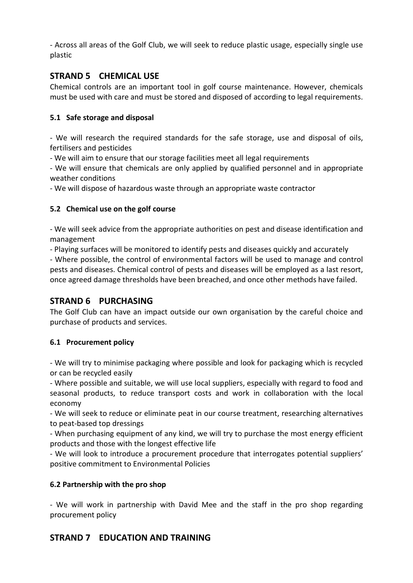- Across all areas of the Golf Club, we will seek to reduce plastic usage, especially single use plastic

# STRAND 5 CHEMICAL USE

Chemical controls are an important tool in golf course maintenance. However, chemicals must be used with care and must be stored and disposed of according to legal requirements.

## 5.1 Safe storage and disposal

- We will research the required standards for the safe storage, use and disposal of oils, fertilisers and pesticides

- We will aim to ensure that our storage facilities meet all legal requirements

- We will ensure that chemicals are only applied by qualified personnel and in appropriate weather conditions

- We will dispose of hazardous waste through an appropriate waste contractor

## 5.2 Chemical use on the golf course

- We will seek advice from the appropriate authorities on pest and disease identification and management

- Playing surfaces will be monitored to identify pests and diseases quickly and accurately

- Where possible, the control of environmental factors will be used to manage and control pests and diseases. Chemical control of pests and diseases will be employed as a last resort, once agreed damage thresholds have been breached, and once other methods have failed.

# STRAND 6 PURCHASING

The Golf Club can have an impact outside our own organisation by the careful choice and purchase of products and services.

# 6.1 Procurement policy

- We will try to minimise packaging where possible and look for packaging which is recycled or can be recycled easily

- Where possible and suitable, we will use local suppliers, especially with regard to food and seasonal products, to reduce transport costs and work in collaboration with the local economy

- We will seek to reduce or eliminate peat in our course treatment, researching alternatives to peat-based top dressings

- When purchasing equipment of any kind, we will try to purchase the most energy efficient products and those with the longest effective life

- We will look to introduce a procurement procedure that interrogates potential suppliers' positive commitment to Environmental Policies

## 6.2 Partnership with the pro shop

- We will work in partnership with David Mee and the staff in the pro shop regarding procurement policy

# STRAND 7 EDUCATION AND TRAINING